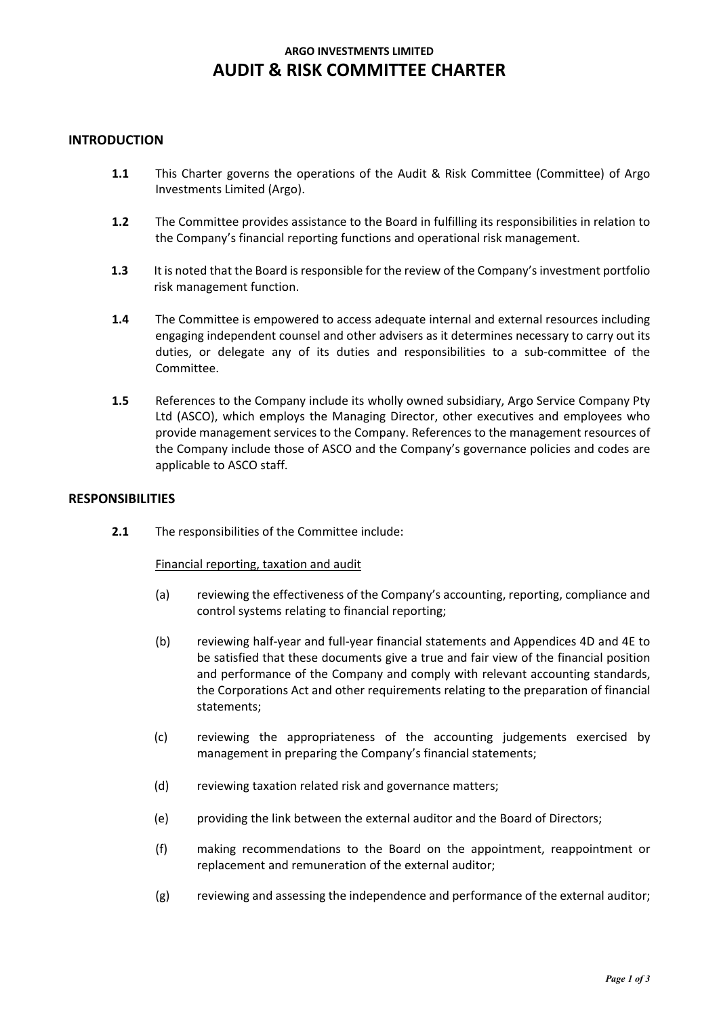# **ARGO INVESTMENTS LIMITED AUDIT & RISK COMMITTEE CHARTER**

# **INTRODUCTION**

- **1.1** This Charter governs the operations of the Audit & Risk Committee (Committee) of Argo Investments Limited (Argo).
- **1.2** The Committee provides assistance to the Board in fulfilling its responsibilities in relation to the Company's financial reporting functions and operational risk management.
- **1.3** It is noted that the Board is responsible for the review of the Company's investment portfolio risk management function.
- **1.4** The Committee is empowered to access adequate internal and external resources including engaging independent counsel and other advisers as it determines necessary to carry out its duties, or delegate any of its duties and responsibilities to a sub-committee of the Committee.
- **1.5** References to the Company include its wholly owned subsidiary, Argo Service Company Pty Ltd (ASCO), which employs the Managing Director, other executives and employees who provide management services to the Company. References to the management resources of the Company include those of ASCO and the Company's governance policies and codes are applicable to ASCO staff.

# **RESPONSIBILITIES**

**2.1** The responsibilities of the Committee include:

## Financial reporting, taxation and audit

- (a) reviewing the effectiveness of the Company's accounting, reporting, compliance and control systems relating to financial reporting;
- (b) reviewing half-year and full-year financial statements and Appendices 4D and 4E to be satisfied that these documents give a true and fair view of the financial position and performance of the Company and comply with relevant accounting standards, the Corporations Act and other requirements relating to the preparation of financial statements;
- (c) reviewing the appropriateness of the accounting judgements exercised by management in preparing the Company's financial statements;
- (d) reviewing taxation related risk and governance matters;
- (e) providing the link between the external auditor and the Board of Directors;
- (f) making recommendations to the Board on the appointment, reappointment or replacement and remuneration of the external auditor;
- (g) reviewing and assessing the independence and performance of the external auditor;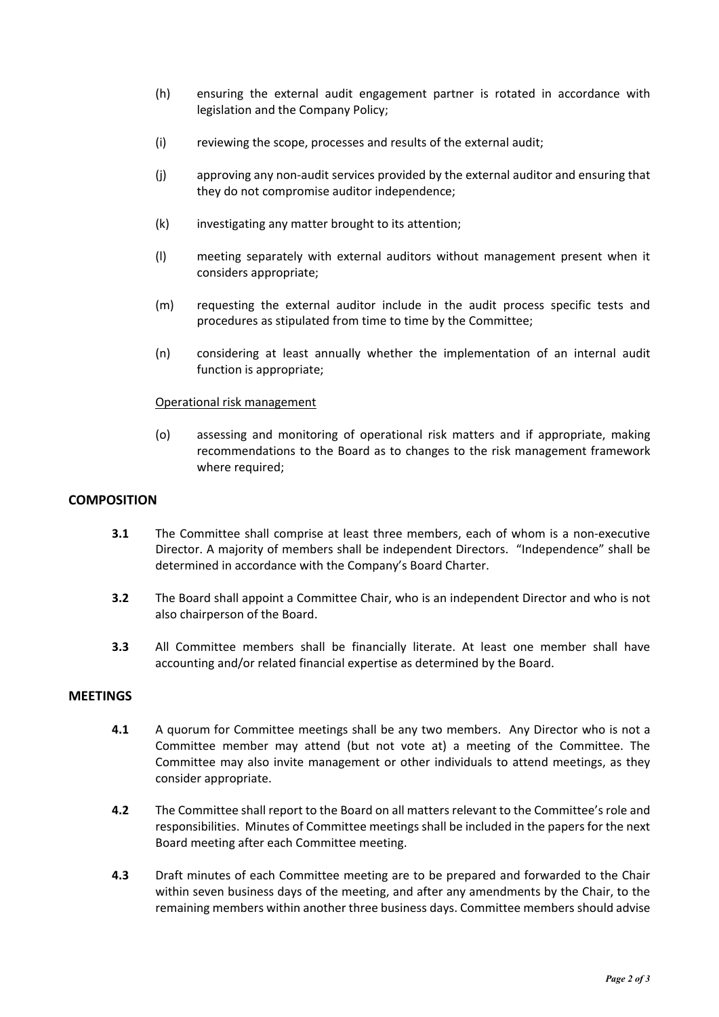- (h) ensuring the external audit engagement partner is rotated in accordance with legislation and the Company Policy;
- (i) reviewing the scope, processes and results of the external audit;
- (j) approving any non-audit services provided by the external auditor and ensuring that they do not compromise auditor independence;
- (k) investigating any matter brought to its attention;
- (l) meeting separately with external auditors without management present when it considers appropriate;
- (m) requesting the external auditor include in the audit process specific tests and procedures as stipulated from time to time by the Committee;
- (n) considering at least annually whether the implementation of an internal audit function is appropriate;

#### Operational risk management

(o) assessing and monitoring of operational risk matters and if appropriate, making recommendations to the Board as to changes to the risk management framework where required;

#### **COMPOSITION**

- **3.1** The Committee shall comprise at least three members, each of whom is a non-executive Director. A majority of members shall be independent Directors. "Independence" shall be determined in accordance with the Company's Board Charter.
- **3.2** The Board shall appoint a Committee Chair, who is an independent Director and who is not also chairperson of the Board.
- **3.3** All Committee members shall be financially literate. At least one member shall have accounting and/or related financial expertise as determined by the Board.

## **MEETINGS**

- **4.1** A quorum for Committee meetings shall be any two members. Any Director who is not a Committee member may attend (but not vote at) a meeting of the Committee. The Committee may also invite management or other individuals to attend meetings, as they consider appropriate.
- **4.2** The Committee shall report to the Board on all matters relevant to the Committee's role and responsibilities. Minutes of Committee meetings shall be included in the papers for the next Board meeting after each Committee meeting.
- **4.3** Draft minutes of each Committee meeting are to be prepared and forwarded to the Chair within seven business days of the meeting, and after any amendments by the Chair, to the remaining members within another three business days. Committee members should advise